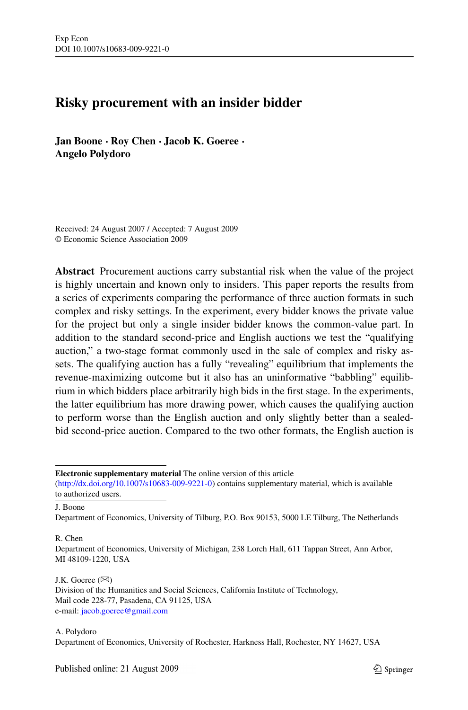# **Risky procurement with an insider bidder**

**Jan Boone · Roy Chen · Jacob K. Goeree · Angelo Polydoro**

Received: 24 August 2007 / Accepted: 7 August 2009 © Economic Science Association 2009

**Abstract** Procurement auctions carry substantial risk when the value of the project is highly uncertain and known only to insiders. This paper reports the results from a series of experiments comparing the performance of three auction formats in such complex and risky settings. In the experiment, every bidder knows the private value for the project but only a single insider bidder knows the common-value part. In addition to the standard second-price and English auctions we test the "qualifying auction," a two-stage format commonly used in the sale of complex and risky assets. The qualifying auction has a fully "revealing" equilibrium that implements the revenue-maximizing outcome but it also has an uninformative "babbling" equilibrium in which bidders place arbitrarily high bids in the first stage. In the experiments, the latter equilibrium has more drawing power, which causes the qualifying auction to perform worse than the English auction and only slightly better than a sealedbid second-price auction. Compared to the two other formats, the English auction is

**Electronic supplementary material** The online version of this article

[\(http://dx.doi.org/10.1007/s10683-009-9221-0](http://dx.doi.org/10.1007/s10683-009-9221-0)) contains supplementary material, which is available to authorized users.

J. Boone

Department of Economics, University of Tilburg, P.O. Box 90153, 5000 LE Tilburg, The Netherlands

R. Chen

Department of Economics, University of Michigan, 238 Lorch Hall, 611 Tappan Street, Ann Arbor, MI 48109-1220, USA

J.K. Goeree  $(\boxtimes)$ Division of the Humanities and Social Sciences, California Institute of Technology, Mail code 228-77, Pasadena, CA 91125, USA e-mail: [jacob.goeree@gmail.com](mailto:jacob.goeree@gmail.com)

A. Polydoro Department of Economics, University of Rochester, Harkness Hall, Rochester, NY 14627, USA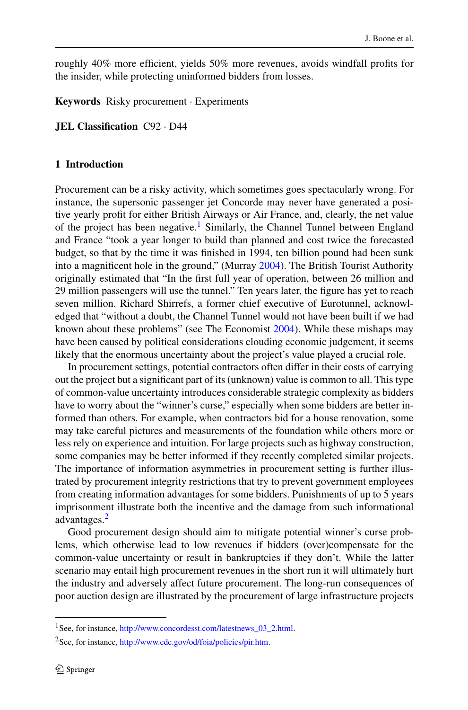roughly 40% more efficient, yields 50% more revenues, avoids windfall profits for the insider, while protecting uninformed bidders from losses.

**Keywords** Risky procurement · Experiments

**JEL Classification** C92 · D44

## **1 Introduction**

Procurement can be a risky activity, which sometimes goes spectacularly wrong. For instance, the supersonic passenger jet Concorde may never have generated a positive yearly profit for either British Airways or Air France, and, clearly, the net value of the project has been negative.<sup>1</sup> Similarly, the Channel Tunnel between England and France "took a year longer to build than planned and cost twice the forecasted budget, so that by the time it was finished in 1994, ten billion pound had been sunk into a magnificent hole in the ground," (Murray [2004](#page-19-0)). The British Tourist Authority originally estimated that "In the first full year of operation, between 26 million and 29 million passengers will use the tunnel." Ten years later, the figure has yet to reach seven million. Richard Shirrefs, a former chief executive of Eurotunnel, acknowledged that "without a doubt, the Channel Tunnel would not have been built if we had known about these problems" (see The Economist [2004\)](#page-19-0). While these mishaps may have been caused by political considerations clouding economic judgement, it seems likely that the enormous uncertainty about the project's value played a crucial role.

In procurement settings, potential contractors often differ in their costs of carrying out the project but a significant part of its (unknown) value is common to all. This type of common-value uncertainty introduces considerable strategic complexity as bidders have to worry about the "winner's curse," especially when some bidders are better informed than others. For example, when contractors bid for a house renovation, some may take careful pictures and measurements of the foundation while others more or less rely on experience and intuition. For large projects such as highway construction, some companies may be better informed if they recently completed similar projects. The importance of information asymmetries in procurement setting is further illustrated by procurement integrity restrictions that try to prevent government employees from creating information advantages for some bidders. Punishments of up to 5 years imprisonment illustrate both the incentive and the damage from such informational advantages.2

Good procurement design should aim to mitigate potential winner's curse problems, which otherwise lead to low revenues if bidders (over)compensate for the common-value uncertainty or result in bankruptcies if they don't. While the latter scenario may entail high procurement revenues in the short run it will ultimately hurt the industry and adversely affect future procurement. The long-run consequences of poor auction design are illustrated by the procurement of large infrastructure projects

<sup>1</sup>See, for instance, [http://www.concordesst.com/latestnews\\_03\\_2.html](http://www.concordesst.com/latestnews_03_2.html).

<sup>2</sup>See, for instance, <http://www.cdc.gov/od/foia/policies/pir.htm>.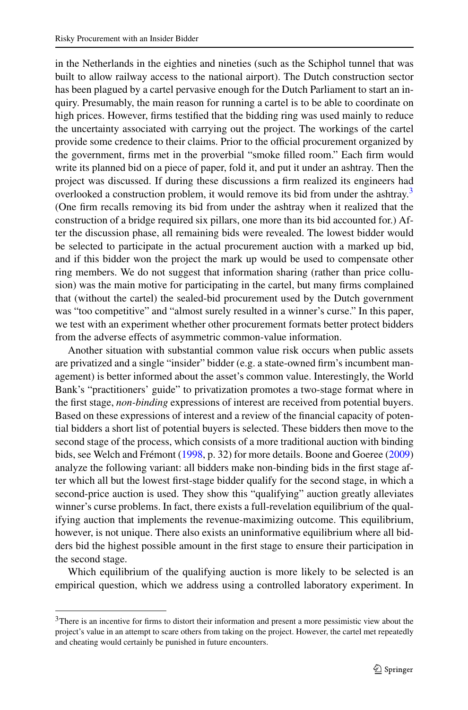in the Netherlands in the eighties and nineties (such as the Schiphol tunnel that was built to allow railway access to the national airport). The Dutch construction sector has been plagued by a cartel pervasive enough for the Dutch Parliament to start an inquiry. Presumably, the main reason for running a cartel is to be able to coordinate on high prices. However, firms testified that the bidding ring was used mainly to reduce the uncertainty associated with carrying out the project. The workings of the cartel provide some credence to their claims. Prior to the official procurement organized by the government, firms met in the proverbial "smoke filled room." Each firm would write its planned bid on a piece of paper, fold it, and put it under an ashtray. Then the project was discussed. If during these discussions a firm realized its engineers had overlooked a construction problem, it would remove its bid from under the ashtray.<sup>3</sup> (One firm recalls removing its bid from under the ashtray when it realized that the construction of a bridge required six pillars, one more than its bid accounted for.) After the discussion phase, all remaining bids were revealed. The lowest bidder would be selected to participate in the actual procurement auction with a marked up bid, and if this bidder won the project the mark up would be used to compensate other ring members. We do not suggest that information sharing (rather than price collusion) was the main motive for participating in the cartel, but many firms complained that (without the cartel) the sealed-bid procurement used by the Dutch government was "too competitive" and "almost surely resulted in a winner's curse." In this paper, we test with an experiment whether other procurement formats better protect bidders from the adverse effects of asymmetric common-value information.

Another situation with substantial common value risk occurs when public assets are privatized and a single "insider" bidder (e.g. a state-owned firm's incumbent management) is better informed about the asset's common value. Interestingly, the World Bank's "practitioners' guide" to privatization promotes a two-stage format where in the first stage, *non-binding* expressions of interest are received from potential buyers. Based on these expressions of interest and a review of the financial capacity of potential bidders a short list of potential buyers is selected. These bidders then move to the second stage of the process, which consists of a more traditional auction with binding bids, see Welch and Frémont ([1998,](#page-19-0) p. 32) for more details. Boone and Goeree [\(2009](#page-19-0)) analyze the following variant: all bidders make non-binding bids in the first stage after which all but the lowest first-stage bidder qualify for the second stage, in which a second-price auction is used. They show this "qualifying" auction greatly alleviates winner's curse problems. In fact, there exists a full-revelation equilibrium of the qualifying auction that implements the revenue-maximizing outcome. This equilibrium, however, is not unique. There also exists an uninformative equilibrium where all bidders bid the highest possible amount in the first stage to ensure their participation in the second stage.

Which equilibrium of the qualifying auction is more likely to be selected is an empirical question, which we address using a controlled laboratory experiment. In

<sup>&</sup>lt;sup>3</sup>There is an incentive for firms to distort their information and present a more pessimistic view about the project's value in an attempt to scare others from taking on the project. However, the cartel met repeatedly and cheating would certainly be punished in future encounters.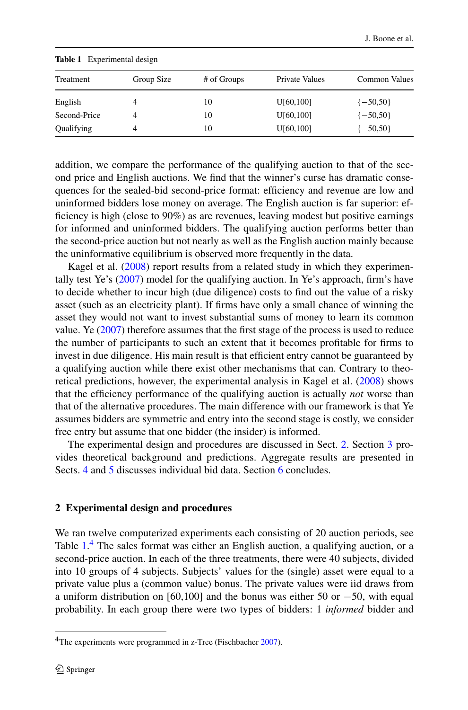| Treatment    | Group Size | # of Groups | Private Values        | Common Values |
|--------------|------------|-------------|-----------------------|---------------|
| English      | 4          | 10          | U[60,100]             | $\{-50,50\}$  |
| Second-Price | 4          | 10          | U <sub>[60,100]</sub> | $\{-50, 50\}$ |
| Qualifying   | 4          | 10          | U[60,100]             | $\{-50, 50\}$ |

<span id="page-3-0"></span>**Table 1** Experimental design

addition, we compare the performance of the qualifying auction to that of the second price and English auctions. We find that the winner's curse has dramatic consequences for the sealed-bid second-price format: efficiency and revenue are low and uninformed bidders lose money on average. The English auction is far superior: efficiency is high (close to 90%) as are revenues, leaving modest but positive earnings for informed and uninformed bidders. The qualifying auction performs better than the second-price auction but not nearly as well as the English auction mainly because the uninformative equilibrium is observed more frequently in the data.

Kagel et al. [\(2008](#page-19-0)) report results from a related study in which they experimentally test Ye's ([2007\)](#page-19-0) model for the qualifying auction. In Ye's approach, firm's have to decide whether to incur high (due diligence) costs to find out the value of a risky asset (such as an electricity plant). If firms have only a small chance of winning the asset they would not want to invest substantial sums of money to learn its common value. Ye [\(2007](#page-19-0)) therefore assumes that the first stage of the process is used to reduce the number of participants to such an extent that it becomes profitable for firms to invest in due diligence. His main result is that efficient entry cannot be guaranteed by a qualifying auction while there exist other mechanisms that can. Contrary to theoretical predictions, however, the experimental analysis in Kagel et al. ([2008\)](#page-19-0) shows that the efficiency performance of the qualifying auction is actually *not* worse than that of the alternative procedures. The main difference with our framework is that Ye assumes bidders are symmetric and entry into the second stage is costly, we consider free entry but assume that one bidder (the insider) is informed.

The experimental design and procedures are discussed in Sect. 2. Section [3](#page-5-0) provides theoretical background and predictions. Aggregate results are presented in Sects. [4](#page-8-0) and [5](#page-13-0) discusses individual bid data. Section [6](#page-15-0) concludes.

#### **2 Experimental design and procedures**

We ran twelve computerized experiments each consisting of 20 auction periods, see Table 1.<sup>4</sup> The sales format was either an English auction, a qualifying auction, or a second-price auction. In each of the three treatments, there were 40 subjects, divided into 10 groups of 4 subjects. Subjects' values for the (single) asset were equal to a private value plus a (common value) bonus. The private values were iid draws from a uniform distribution on [60,100] and the bonus was either 50 or −50, with equal probability. In each group there were two types of bidders: 1 *informed* bidder and

<sup>&</sup>lt;sup>4</sup>The experiments were programmed in z-Tree (Fischbacher [2007\)](#page-19-0).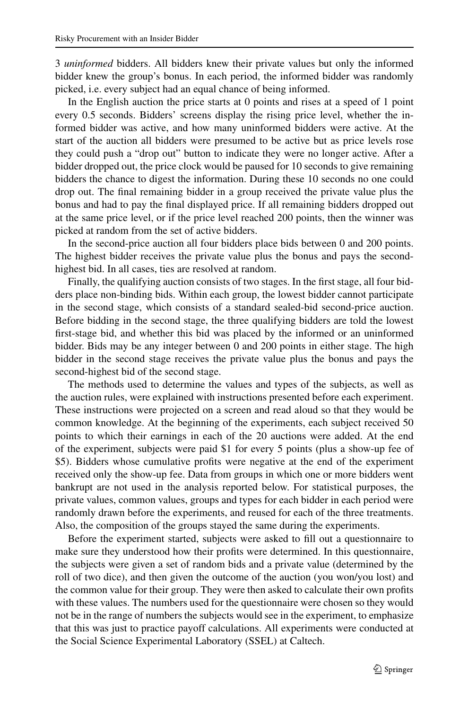3 *uninformed* bidders. All bidders knew their private values but only the informed bidder knew the group's bonus. In each period, the informed bidder was randomly picked, i.e. every subject had an equal chance of being informed.

In the English auction the price starts at 0 points and rises at a speed of 1 point every 0.5 seconds. Bidders' screens display the rising price level, whether the informed bidder was active, and how many uninformed bidders were active. At the start of the auction all bidders were presumed to be active but as price levels rose they could push a "drop out" button to indicate they were no longer active. After a bidder dropped out, the price clock would be paused for 10 seconds to give remaining bidders the chance to digest the information. During these 10 seconds no one could drop out. The final remaining bidder in a group received the private value plus the bonus and had to pay the final displayed price. If all remaining bidders dropped out at the same price level, or if the price level reached 200 points, then the winner was picked at random from the set of active bidders.

In the second-price auction all four bidders place bids between 0 and 200 points. The highest bidder receives the private value plus the bonus and pays the secondhighest bid. In all cases, ties are resolved at random.

Finally, the qualifying auction consists of two stages. In the first stage, all four bidders place non-binding bids. Within each group, the lowest bidder cannot participate in the second stage, which consists of a standard sealed-bid second-price auction. Before bidding in the second stage, the three qualifying bidders are told the lowest first-stage bid, and whether this bid was placed by the informed or an uninformed bidder. Bids may be any integer between 0 and 200 points in either stage. The high bidder in the second stage receives the private value plus the bonus and pays the second-highest bid of the second stage.

The methods used to determine the values and types of the subjects, as well as the auction rules, were explained with instructions presented before each experiment. These instructions were projected on a screen and read aloud so that they would be common knowledge. At the beginning of the experiments, each subject received 50 points to which their earnings in each of the 20 auctions were added. At the end of the experiment, subjects were paid \$1 for every 5 points (plus a show-up fee of \$5). Bidders whose cumulative profits were negative at the end of the experiment received only the show-up fee. Data from groups in which one or more bidders went bankrupt are not used in the analysis reported below. For statistical purposes, the private values, common values, groups and types for each bidder in each period were randomly drawn before the experiments, and reused for each of the three treatments. Also, the composition of the groups stayed the same during the experiments.

Before the experiment started, subjects were asked to fill out a questionnaire to make sure they understood how their profits were determined. In this questionnaire, the subjects were given a set of random bids and a private value (determined by the roll of two dice), and then given the outcome of the auction (you won/you lost) and the common value for their group. They were then asked to calculate their own profits with these values. The numbers used for the questionnaire were chosen so they would not be in the range of numbers the subjects would see in the experiment, to emphasize that this was just to practice payoff calculations. All experiments were conducted at the Social Science Experimental Laboratory (SSEL) at Caltech.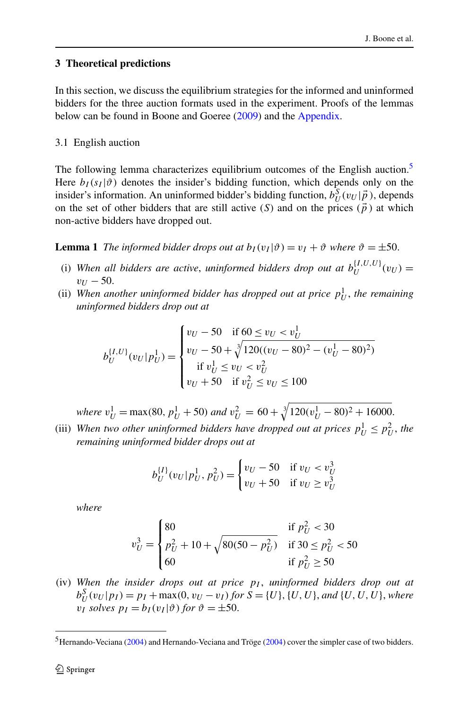## <span id="page-5-0"></span>**3 Theoretical predictions**

In this section, we discuss the equilibrium strategies for the informed and uninformed bidders for the three auction formats used in the experiment. Proofs of the lemmas below can be found in Boone and Goeree ([2009](#page-19-0)) and the [Appendix](#page-17-0).

## 3.1 English auction

The following lemma characterizes equilibrium outcomes of the English auction.<sup>5</sup> Here  $b_I(s_I|\vartheta)$  denotes the insider's bidding function, which depends only on the insider's information. An uninformed bidder's bidding function,  $b_U^S(v_U|\vec{p})$ , depends on the set of other bidders that are still active  $(S)$  and on the prices  $(\vec{p})$  at which non-active bidders have dropped out.

**Lemma 1** *The informed bidder drops out at*  $b_I(v_I|\vartheta) = v_I + \vartheta$  *where*  $\vartheta = \pm 50$ *.* 

- (i) When all bidders are active, *uninformed bidders drop out at*  $b_U^{[I,U,U]}(v_U)$  =  $v_{U}$  – 50.
- (ii) When another uninformed bidder has dropped out at price  $p_U^1$ , the remaining *uninformed bidders drop out at*

$$
b_U^{\{I,U\}}(v_U|p_U^1) = \begin{cases} v_U - 50 & \text{if } 60 \le v_U < v_U^1 \\ v_U - 50 + \sqrt[3]{120((v_U - 80)^2 - (v_U^1 - 80)^2)} \\ & \text{if } v_U^1 \le v_U < v_U^2 \\ v_U + 50 & \text{if } v_U^2 \le v_U \le 100 \end{cases}
$$

*where*  $v_U^1$  = max(80,  $p_U^1$  + 50) *and*  $v_U^2$  = 60 +  $\sqrt[3]{120(v_U^1 - 80)^2 + 16000}$ .

(iii) When two other uninformed bidders have dropped out at prices  $p_U^1 \leq p_U^2$ , the *remaining uninformed bidder drops out at*

$$
b_U^{\{I\}}(v_U|p_U^1, p_U^2) = \begin{cases} v_U - 50 & \text{if } v_U < v_U^3\\ v_U + 50 & \text{if } v_U \ge v_U^3 \end{cases}
$$

*where*

$$
v_U^3 = \begin{cases} 80 & \text{if } p_U^2 < 30\\ p_U^2 + 10 + \sqrt{80(50 - p_U^2)} & \text{if } 30 \le p_U^2 < 50\\ 60 & \text{if } p_U^2 \ge 50 \end{cases}
$$

(iv) *When the insider drops out at price pI* , *uninformed bidders drop out at*  $b_U^S(v_U|p_I) = p_I + \max(0, v_U - v_I)$  for  $S = \{U\}, \{U, U\},$  and  $\{U, U, U\}$ , where *vI solves*  $p_I = b_I(v_I|\vartheta)$  *for*  $\vartheta = \pm 50$ .

<sup>&</sup>lt;sup>5</sup>Hernando-Veciana [\(2004](#page-19-0)) and Hernando-Veciana and Tröge ([2004\)](#page-19-0) cover the simpler case of two bidders.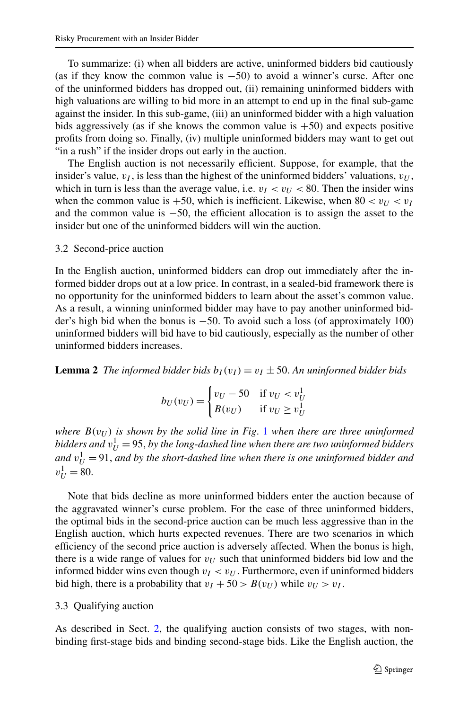To summarize: (i) when all bidders are active, uninformed bidders bid cautiously (as if they know the common value is  $-50$ ) to avoid a winner's curse. After one of the uninformed bidders has dropped out, (ii) remaining uninformed bidders with high valuations are willing to bid more in an attempt to end up in the final sub-game against the insider. In this sub-game, (iii) an uninformed bidder with a high valuation bids aggressively (as if she knows the common value is  $+50$ ) and expects positive profits from doing so. Finally, (iv) multiple uninformed bidders may want to get out "in a rush" if the insider drops out early in the auction.

The English auction is not necessarily efficient. Suppose, for example, that the insider's value,  $v_I$ , is less than the highest of the uninformed bidders' valuations,  $v_U$ , which in turn is less than the average value, i.e.  $v_I < v_U < 80$ . Then the insider wins when the common value is  $+50$ , which is inefficient. Likewise, when  $80 < v_{U} < v_{I}$ and the common value is −50, the efficient allocation is to assign the asset to the insider but one of the uninformed bidders will win the auction.

#### 3.2 Second-price auction

In the English auction, uninformed bidders can drop out immediately after the informed bidder drops out at a low price. In contrast, in a sealed-bid framework there is no opportunity for the uninformed bidders to learn about the asset's common value. As a result, a winning uninformed bidder may have to pay another uninformed bidder's high bid when the bonus is −50. To avoid such a loss (of approximately 100) uninformed bidders will bid have to bid cautiously, especially as the number of other uninformed bidders increases.

**Lemma 2** *The informed bidder bids*  $b_I(v_I) = v_I \pm 50$ . An uninformed bidder bids

$$
b_U(v_U) = \begin{cases} v_U - 50 & \text{if } v_U < v_U^1 \\ B(v_U) & \text{if } v_U \ge v_U^1 \end{cases}
$$

*where*  $B(v_U)$  *is shown by the solid line in Fig. [1](#page-7-0) when there are three uninformed*  $b$ idders and  $v_U^1 =$  95, by the long-dashed line when there are two uninformed bidders and  $v_U^1 = 91$ , and by the short-dashed line when there is one uninformed bidder and  $v_U^1 = 80.$ 

Note that bids decline as more uninformed bidders enter the auction because of the aggravated winner's curse problem. For the case of three uninformed bidders, the optimal bids in the second-price auction can be much less aggressive than in the English auction, which hurts expected revenues. There are two scenarios in which efficiency of the second price auction is adversely affected. When the bonus is high, there is a wide range of values for  $v_U$  such that uninformed bidders bid low and the informed bidder wins even though  $v_I < v_U$ . Furthermore, even if uninformed bidders bid high, there is a probability that  $v_I + 50 > B(v_U)$  while  $v_U > v_I$ .

### 3.3 Qualifying auction

As described in Sect. [2,](#page-3-0) the qualifying auction consists of two stages, with nonbinding first-stage bids and binding second-stage bids. Like the English auction, the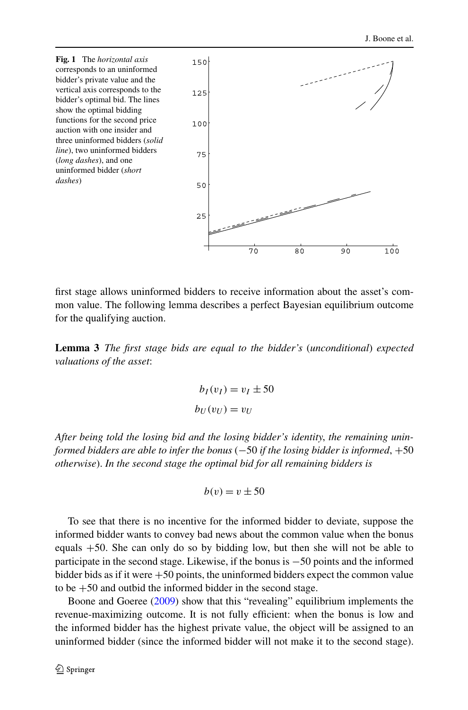<span id="page-7-0"></span>

first stage allows uninformed bidders to receive information about the asset's common value. The following lemma describes a perfect Bayesian equilibrium outcome for the qualifying auction.

**Lemma 3** *The first stage bids are equal to the bidder's* (*unconditional*) *expected valuations of the asset*:

$$
b_I(v_I) = v_I \pm 50
$$
  

$$
b_U(v_U) = v_U
$$

*After being told the losing bid and the losing bidder's identity*, *the remaining uninformed bidders are able to infer the bonus* (−50 *if the losing bidder is informed*, +50 *otherwise*). *In the second stage the optimal bid for all remaining bidders is*

$$
b(v) = v \pm 50
$$

To see that there is no incentive for the informed bidder to deviate, suppose the informed bidder wants to convey bad news about the common value when the bonus equals +50. She can only do so by bidding low, but then she will not be able to participate in the second stage. Likewise, if the bonus is −50 points and the informed bidder bids as if it were  $+50$  points, the uninformed bidders expect the common value to be +50 and outbid the informed bidder in the second stage.

Boone and Goeree ([2009\)](#page-19-0) show that this "revealing" equilibrium implements the revenue-maximizing outcome. It is not fully efficient: when the bonus is low and the informed bidder has the highest private value, the object will be assigned to an uninformed bidder (since the informed bidder will not make it to the second stage).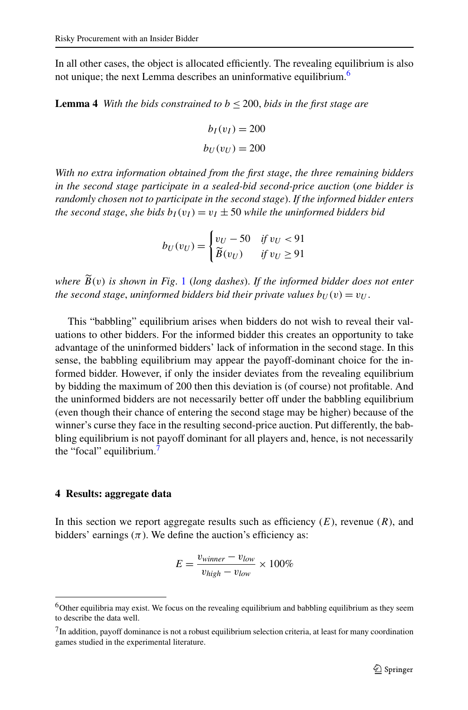<span id="page-8-0"></span>In all other cases, the object is allocated efficiently. The revealing equilibrium is also not unique; the next Lemma describes an uninformative equilibrium.<sup>6</sup>

**Lemma 4** *With the bids constrained to*  $b \le 200$ *, bids in the first stage are* 

$$
b_I(v_I) = 200
$$
  

$$
b_U(v_U) = 200
$$

*With no extra information obtained from the first stage*, *the three remaining bidders in the second stage participate in a sealed-bid second-price auction* (*one bidder is randomly chosen not to participate in the second stage*). *If the informed bidder enters the second stage, she bids*  $b_I(v_I) = v_I \pm 50$  *while the uninformed bidders bid* 

$$
b_U(v_U) = \begin{cases} v_U - 50 & \text{if } v_U < 91 \\ \widetilde{B}(v_U) & \text{if } v_U \ge 91 \end{cases}
$$

*where B(v) is shown in Fig*. [1](#page-7-0) (*long dashes*). *If the informed bidder does not enter the second stage, uninformed bidders bid their private values*  $b_U(v) = v_U$ .

This "babbling" equilibrium arises when bidders do not wish to reveal their valuations to other bidders. For the informed bidder this creates an opportunity to take advantage of the uninformed bidders' lack of information in the second stage. In this sense, the babbling equilibrium may appear the payoff-dominant choice for the informed bidder. However, if only the insider deviates from the revealing equilibrium by bidding the maximum of 200 then this deviation is (of course) not profitable. And the uninformed bidders are not necessarily better off under the babbling equilibrium (even though their chance of entering the second stage may be higher) because of the winner's curse they face in the resulting second-price auction. Put differently, the babbling equilibrium is not payoff dominant for all players and, hence, is not necessarily the "focal" equilibrium.<sup>7</sup>

#### **4 Results: aggregate data**

In this section we report aggregate results such as efficiency (*E*), revenue (*R*), and bidders' earnings  $(\pi)$ . We define the auction's efficiency as:

$$
E = \frac{v_{winner} - v_{low}}{v_{high} - v_{low}} \times 100\%
$$

<sup>6</sup>Other equilibria may exist. We focus on the revealing equilibrium and babbling equilibrium as they seem to describe the data well.

 $<sup>7</sup>$ In addition, payoff dominance is not a robust equilibrium selection criteria, at least for many coordination</sup> games studied in the experimental literature.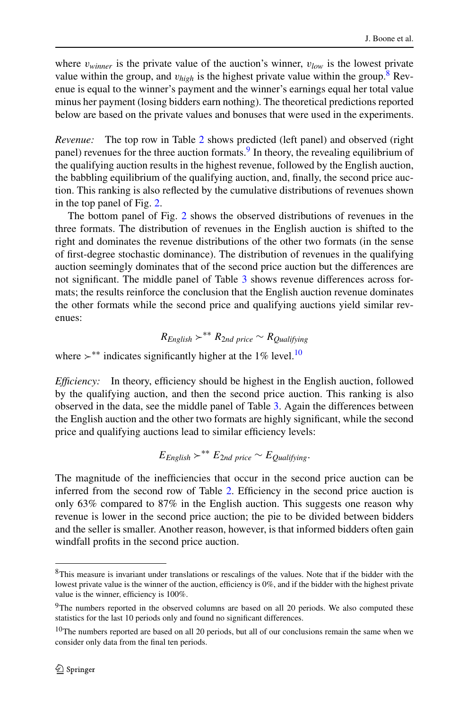where  $v_{winner}$  is the private value of the auction's winner,  $v_{low}$  is the lowest private value within the group, and  $v_{high}$  is the highest private value within the group.<sup>8</sup> Revenue is equal to the winner's payment and the winner's earnings equal her total value minus her payment (losing bidders earn nothing). The theoretical predictions reported below are based on the private values and bonuses that were used in the experiments.

*Revenue:* The top row in Table [2](#page-10-0) shows predicted (left panel) and observed (right panel) revenues for the three auction formats.<sup>9</sup> In theory, the revealing equilibrium of the qualifying auction results in the highest revenue, followed by the English auction, the babbling equilibrium of the qualifying auction, and, finally, the second price auction. This ranking is also reflected by the cumulative distributions of revenues shown in the top panel of Fig. [2](#page-12-0).

The bottom panel of Fig. [2](#page-12-0) shows the observed distributions of revenues in the three formats. The distribution of revenues in the English auction is shifted to the right and dominates the revenue distributions of the other two formats (in the sense of first-degree stochastic dominance). The distribution of revenues in the qualifying auction seemingly dominates that of the second price auction but the differences are not significant. The middle panel of Table [3](#page-11-0) shows revenue differences across formats; the results reinforce the conclusion that the English auction revenue dominates the other formats while the second price and qualifying auctions yield similar revenues:

$$
R_{English} >^{**} R_{2nd\ price} \sim R_{Qualitying}
$$

where  $\succ^*$  indicates significantly higher at the 1% level.<sup>10</sup>

*Efficiency:* In theory, efficiency should be highest in the English auction, followed by the qualifying auction, and then the second price auction. This ranking is also observed in the data, see the middle panel of Table [3.](#page-11-0) Again the differences between the English auction and the other two formats are highly significant, while the second price and qualifying auctions lead to similar efficiency levels:

$$
E_{English} >^{**} E_{2nd \ price} \sim E_{Qualifying}.
$$

The magnitude of the inefficiencies that occur in the second price auction can be inferred from the second row of Table [2](#page-10-0). Efficiency in the second price auction is only 63% compared to 87% in the English auction. This suggests one reason why revenue is lower in the second price auction; the pie to be divided between bidders and the seller is smaller. Another reason, however, is that informed bidders often gain windfall profits in the second price auction.

<sup>8</sup>This measure is invariant under translations or rescalings of the values. Note that if the bidder with the lowest private value is the winner of the auction, efficiency is 0%, and if the bidder with the highest private value is the winner, efficiency is 100%.

<sup>&</sup>lt;sup>9</sup>The numbers reported in the observed columns are based on all 20 periods. We also computed these statistics for the last 10 periods only and found no significant differences.

<sup>&</sup>lt;sup>10</sup>The numbers reported are based on all 20 periods, but all of our conclusions remain the same when we consider only data from the final ten periods.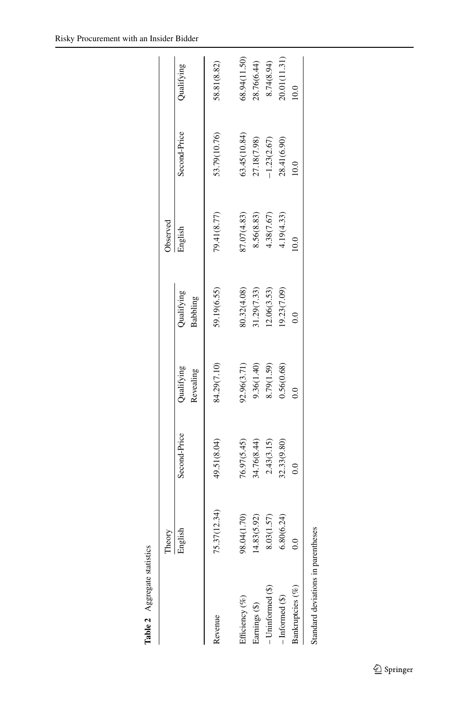<span id="page-10-0"></span>

| Table 2 Aggregate statistics       |              |               |                         |                               |             |               |                |
|------------------------------------|--------------|---------------|-------------------------|-------------------------------|-------------|---------------|----------------|
|                                    | Theory       |               |                         |                               | Observed    |               |                |
|                                    | English      | Second-Price  | Qualifying<br>Revealing | Qualifying<br><b>Babbling</b> | English     | Second-Price  | Qualifying     |
| Revenue                            | 75.37(12.34) | 49.51(8.04)   | 84.29(7.10)             | 59.19(6.55)                   | 79.41(8.77) | 53.79(10.76)  | 58.81(8.82)    |
| Efficiency (%)                     | 98.04(1.70)  | 76.97(5.45)   | 92.96(3.71)             | 80.32(4.08)                   | 87.07(4.83) | 63.45(10.84)  | 68.94(11.50)   |
| Earnings (\$)                      | (4.83(5.92)  | 34.76(8.44)   | 9.36(1.40)              | 11.29(7.33)                   | 8.56(8.83)  | 27.18(7.98)   | 28.76(6.44)    |
| $-$ Uninformed $(S)$               | 8.03(1.57)   | 2.43(3.15)    | 8.79(1.59)              | (2.06(3.53))                  | 4.38(7.67)  | $-1.23(2.67)$ | 8.74(8.94)     |
| $-$ Informed $(S)$                 | 6.80(6.24)   | 32.33(9.80)   | 0.56(0.68)              | 9.23(7.09)                    | 4.19(4.33)  | 28.41(6.90)   | 0.01(11.31)    |
| Bankruptcies (%)                   | 0.0          | $\frac{0}{2}$ |                         |                               | 0.0         | 0.0           | $\overline{0}$ |
| Standard deviations in parentheses |              |               |                         |                               |             |               |                |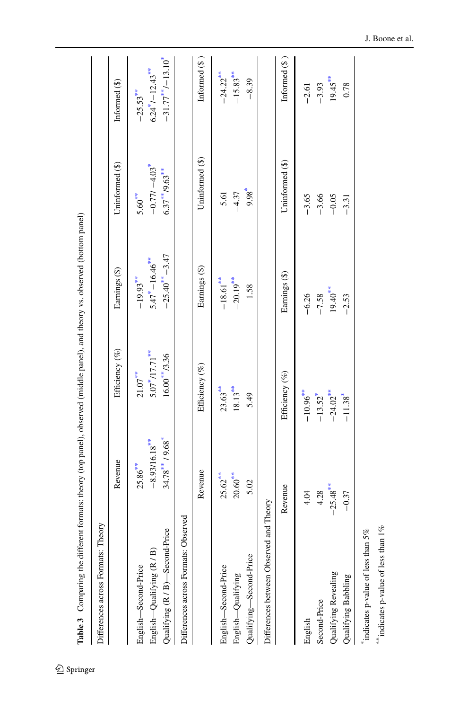<span id="page-11-0"></span>

| Differences across Formats: Theory                                                                          |                                                        | formats: theory (top panel), observed (middle panel), and theory vs. observed (bottom panel) |                                                              |                                                                            |                                                            |
|-------------------------------------------------------------------------------------------------------------|--------------------------------------------------------|----------------------------------------------------------------------------------------------|--------------------------------------------------------------|----------------------------------------------------------------------------|------------------------------------------------------------|
|                                                                                                             |                                                        |                                                                                              |                                                              |                                                                            |                                                            |
|                                                                                                             | Revenue                                                | Efficiency (%)                                                                               | Earnings (\$)                                                | Uninformed (\$)                                                            | Informed (\$)                                              |
| Qualifying (R / B)-Second-Price<br>English—Qualifying (R / B)<br>English-Second-Price                       | $34.78$ ** $19.68$ *<br>$-8.93/16.18***$<br>$25.86***$ | $5.07*17.71**$<br>$16.00**/3.36$<br>$21.07***$                                               | $-25.40^{***}-3.47$<br>$5.47^* - 16.46^{***}$<br>$-19.93***$ | $-0.77l - 4.03$ <sup>*</sup><br>$6.37***$ /9.63 <sup>**</sup><br>$5.60***$ | $-31.77***/-13.10*$<br>$6.24^*/{-12.43}$ **<br>$-25.53***$ |
| Differences across Formats: Observed                                                                        |                                                        |                                                                                              |                                                              |                                                                            |                                                            |
|                                                                                                             | Revenue                                                | Efficiency (%)                                                                               | Earnings (\$)                                                | Uninformed (\$)                                                            | Informed $(\S)$                                            |
| English-Second-Price<br>English-Qualifying                                                                  | $25.62***$<br>$20.60***$                               | $23.63***$<br>$18.13***$                                                                     | $-20.19***$<br>$-18.61***$                                   | $9.98^*$<br>$-4.37$<br>5.61                                                | $-24.22***$<br>$-15.83***$                                 |
| d Theory<br>Differences between Observed an<br>Qualifying-Second-Price                                      | 5.02                                                   | 5.49                                                                                         | 1.58                                                         |                                                                            | $-8.39$                                                    |
|                                                                                                             | Revenue                                                | Efficiency (%)                                                                               | Earnings (\$)                                                | Uninformed (\$)                                                            | Informed $(\$)$                                            |
| indicates p-value of less than 5%<br>Qualifying Revealing<br>Qualifying Babbling<br>Second-Price<br>English | $-25.48$ <sup>***</sup><br>4.28<br>4.04<br>$-0.37$     | $-10.96***$<br>$-24.02***$<br>$-13.52$ <sup>*</sup><br>$-11.38$ <sup>*</sup>                 | $19.40***$<br>$-7.58$<br>$-6.26$<br>$-2.53$                  | $-3.65$<br>$-3.66$<br>$-0.05$<br>$-3.31$                                   | $19.45***$<br>$-3.93$<br>0.78<br>$-2.61$                   |

 $^{**}$  indicates p-value of less than  $1\%$ \*\* indicates p-value of less than  $1\%$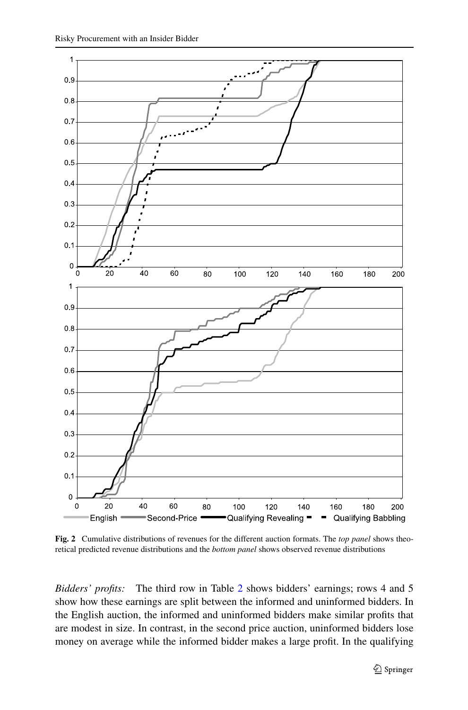<span id="page-12-0"></span>

**Fig. 2** Cumulative distributions of revenues for the different auction formats. The *top panel* shows theoretical predicted revenue distributions and the *bottom panel* shows observed revenue distributions

*Bidders' profits:* The third row in Table [2](#page-10-0) shows bidders' earnings; rows 4 and 5 show how these earnings are split between the informed and uninformed bidders. In the English auction, the informed and uninformed bidders make similar profits that are modest in size. In contrast, in the second price auction, uninformed bidders lose money on average while the informed bidder makes a large profit. In the qualifying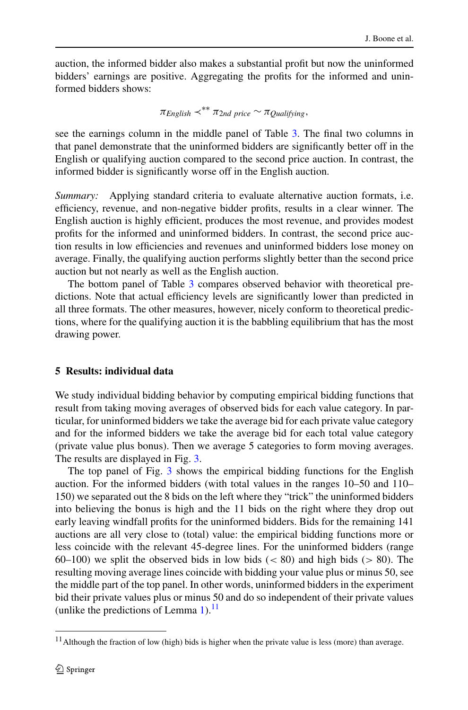<span id="page-13-0"></span>auction, the informed bidder also makes a substantial profit but now the uninformed bidders' earnings are positive. Aggregating the profits for the informed and uninformed bidders shows:

 $\pi_{English} \prec^{**} \pi_{2nd \ price} \sim \pi_{Oualifying}$ 

see the earnings column in the middle panel of Table [3](#page-11-0). The final two columns in that panel demonstrate that the uninformed bidders are significantly better off in the English or qualifying auction compared to the second price auction. In contrast, the informed bidder is significantly worse off in the English auction.

*Summary:* Applying standard criteria to evaluate alternative auction formats, i.e. efficiency, revenue, and non-negative bidder profits, results in a clear winner. The English auction is highly efficient, produces the most revenue, and provides modest profits for the informed and uninformed bidders. In contrast, the second price auction results in low efficiencies and revenues and uninformed bidders lose money on average. Finally, the qualifying auction performs slightly better than the second price auction but not nearly as well as the English auction.

The bottom panel of Table [3](#page-11-0) compares observed behavior with theoretical predictions. Note that actual efficiency levels are significantly lower than predicted in all three formats. The other measures, however, nicely conform to theoretical predictions, where for the qualifying auction it is the babbling equilibrium that has the most drawing power.

## **5 Results: individual data**

We study individual bidding behavior by computing empirical bidding functions that result from taking moving averages of observed bids for each value category. In particular, for uninformed bidders we take the average bid for each private value category and for the informed bidders we take the average bid for each total value category (private value plus bonus). Then we average 5 categories to form moving averages. The results are displayed in Fig. [3](#page-14-0).

The top panel of Fig. [3](#page-14-0) shows the empirical bidding functions for the English auction. For the informed bidders (with total values in the ranges 10–50 and 110– 150) we separated out the 8 bids on the left where they "trick" the uninformed bidders into believing the bonus is high and the 11 bids on the right where they drop out early leaving windfall profits for the uninformed bidders. Bids for the remaining 141 auctions are all very close to (total) value: the empirical bidding functions more or less coincide with the relevant 45-degree lines. For the uninformed bidders (range 60–100) we split the observed bids in low bids (*<* 80) and high bids (*>* 80). The resulting moving average lines coincide with bidding your value plus or minus 50, see the middle part of the top panel. In other words, uninformed bidders in the experiment bid their private values plus or minus 50 and do so independent of their private values (unlike the predictions of Lemma [1\)](#page-5-0). $^{11}$ 

 $11$  Although the fraction of low (high) bids is higher when the private value is less (more) than average.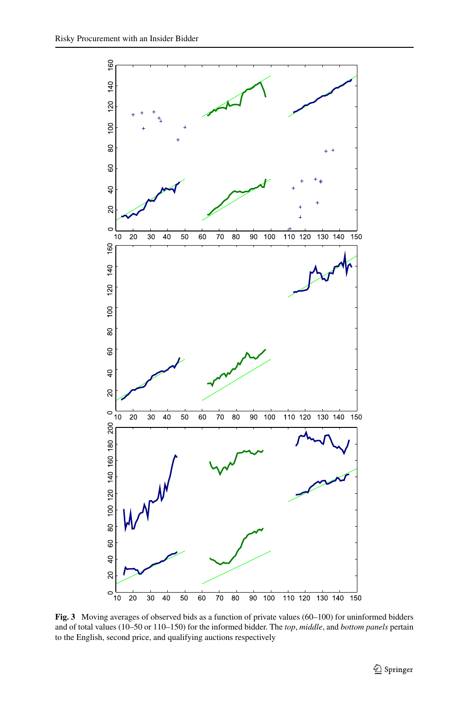<span id="page-14-0"></span>

Fig. 3 Moving averages of observed bids as a function of private values (60–100) for uninformed bidders and of total values (10–50 or 110–150) for the informed bidder. The *top*, *middle*, and *bottom panels* pertain to the English, second price, and qualifying auctions respectively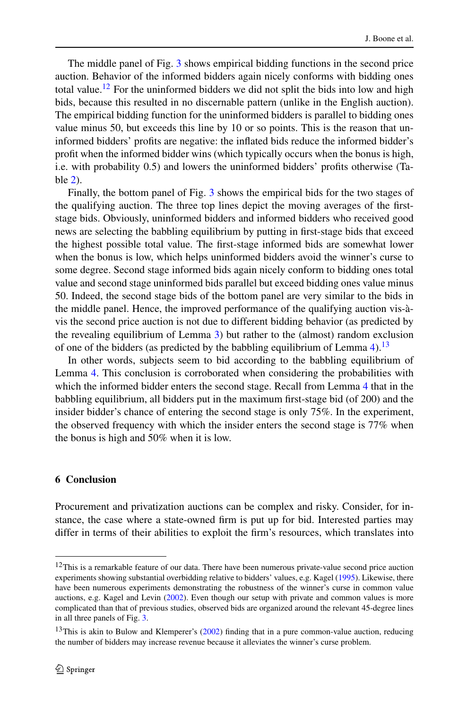<span id="page-15-0"></span>The middle panel of Fig. [3](#page-14-0) shows empirical bidding functions in the second price auction. Behavior of the informed bidders again nicely conforms with bidding ones total value.<sup>12</sup> For the uninformed bidders we did not split the bids into low and high bids, because this resulted in no discernable pattern (unlike in the English auction). The empirical bidding function for the uninformed bidders is parallel to bidding ones value minus 50, but exceeds this line by 10 or so points. This is the reason that uninformed bidders' profits are negative: the inflated bids reduce the informed bidder's profit when the informed bidder wins (which typically occurs when the bonus is high, i.e. with probability 0.5) and lowers the uninformed bidders' profits otherwise (Table [2](#page-10-0)).

Finally, the bottom panel of Fig. [3](#page-14-0) shows the empirical bids for the two stages of the qualifying auction. The three top lines depict the moving averages of the firststage bids. Obviously, uninformed bidders and informed bidders who received good news are selecting the babbling equilibrium by putting in first-stage bids that exceed the highest possible total value. The first-stage informed bids are somewhat lower when the bonus is low, which helps uninformed bidders avoid the winner's curse to some degree. Second stage informed bids again nicely conform to bidding ones total value and second stage uninformed bids parallel but exceed bidding ones value minus 50. Indeed, the second stage bids of the bottom panel are very similar to the bids in the middle panel. Hence, the improved performance of the qualifying auction vis-àvis the second price auction is not due to different bidding behavior (as predicted by the revealing equilibrium of Lemma [3](#page-7-0)) but rather to the (almost) random exclusion of one of the bidders (as predicted by the babbling equilibrium of Lemma [4\)](#page-8-0).<sup>13</sup>

In other words, subjects seem to bid according to the babbling equilibrium of Lemma [4](#page-8-0). This conclusion is corroborated when considering the probabilities with which the informed bidder enters the second stage. Recall from Lemma [4](#page-8-0) that in the babbling equilibrium, all bidders put in the maximum first-stage bid (of 200) and the insider bidder's chance of entering the second stage is only 75%. In the experiment, the observed frequency with which the insider enters the second stage is 77% when the bonus is high and 50% when it is low.

#### **6 Conclusion**

Procurement and privatization auctions can be complex and risky. Consider, for instance, the case where a state-owned firm is put up for bid. Interested parties may differ in terms of their abilities to exploit the firm's resources, which translates into

 $12$ This is a remarkable feature of our data. There have been numerous private-value second price auction experiments showing substantial overbidding relative to bidders' values, e.g. Kagel ([1995\)](#page-19-0). Likewise, there have been numerous experiments demonstrating the robustness of the winner's curse in common value auctions, e.g. Kagel and Levin [\(2002](#page-19-0)). Even though our setup with private and common values is more complicated than that of previous studies, observed bids are organized around the relevant 45-degree lines in all three panels of Fig. [3](#page-14-0).

 $13$ This is akin to Bulow and Klemperer's ([2002](#page-19-0)) finding that in a pure common-value auction, reducing the number of bidders may increase revenue because it alleviates the winner's curse problem.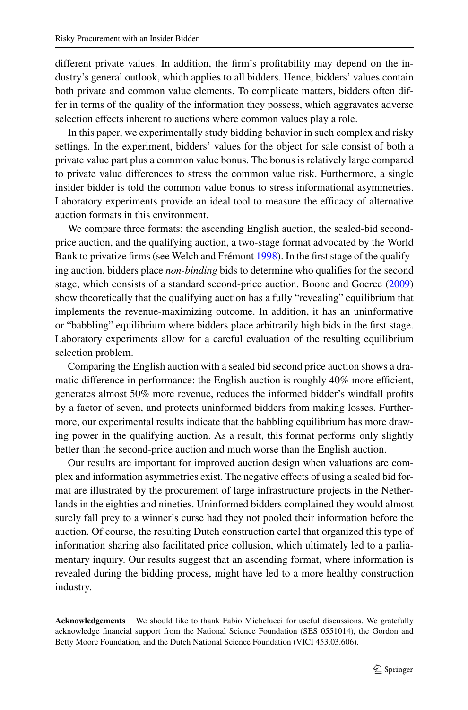different private values. In addition, the firm's profitability may depend on the industry's general outlook, which applies to all bidders. Hence, bidders' values contain both private and common value elements. To complicate matters, bidders often differ in terms of the quality of the information they possess, which aggravates adverse selection effects inherent to auctions where common values play a role.

In this paper, we experimentally study bidding behavior in such complex and risky settings. In the experiment, bidders' values for the object for sale consist of both a private value part plus a common value bonus. The bonus is relatively large compared to private value differences to stress the common value risk. Furthermore, a single insider bidder is told the common value bonus to stress informational asymmetries. Laboratory experiments provide an ideal tool to measure the efficacy of alternative auction formats in this environment.

We compare three formats: the ascending English auction, the sealed-bid secondprice auction, and the qualifying auction, a two-stage format advocated by the World Bank to privatize firms (see Welch and Frémont [1998\)](#page-19-0). In the first stage of the qualifying auction, bidders place *non-binding* bids to determine who qualifies for the second stage, which consists of a standard second-price auction. Boone and Goeree [\(2009](#page-19-0)) show theoretically that the qualifying auction has a fully "revealing" equilibrium that implements the revenue-maximizing outcome. In addition, it has an uninformative or "babbling" equilibrium where bidders place arbitrarily high bids in the first stage. Laboratory experiments allow for a careful evaluation of the resulting equilibrium selection problem.

Comparing the English auction with a sealed bid second price auction shows a dramatic difference in performance: the English auction is roughly 40% more efficient, generates almost 50% more revenue, reduces the informed bidder's windfall profits by a factor of seven, and protects uninformed bidders from making losses. Furthermore, our experimental results indicate that the babbling equilibrium has more drawing power in the qualifying auction. As a result, this format performs only slightly better than the second-price auction and much worse than the English auction.

Our results are important for improved auction design when valuations are complex and information asymmetries exist. The negative effects of using a sealed bid format are illustrated by the procurement of large infrastructure projects in the Netherlands in the eighties and nineties. Uninformed bidders complained they would almost surely fall prey to a winner's curse had they not pooled their information before the auction. Of course, the resulting Dutch construction cartel that organized this type of information sharing also facilitated price collusion, which ultimately led to a parliamentary inquiry. Our results suggest that an ascending format, where information is revealed during the bidding process, might have led to a more healthy construction industry.

**Acknowledgements** We should like to thank Fabio Michelucci for useful discussions. We gratefully acknowledge financial support from the National Science Foundation (SES 0551014), the Gordon and Betty Moore Foundation, and the Dutch National Science Foundation (VICI 453.03.606).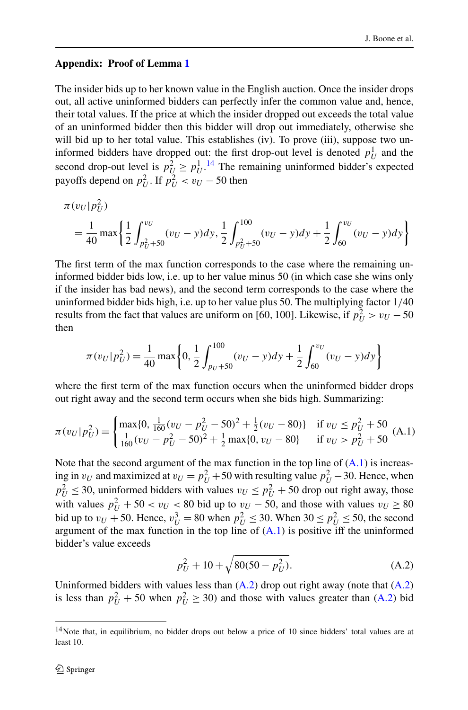## <span id="page-17-0"></span>**Appendix: Proof of Lemma [1](#page-5-0)**

The insider bids up to her known value in the English auction. Once the insider drops out, all active uninformed bidders can perfectly infer the common value and, hence, their total values. If the price at which the insider dropped out exceeds the total value of an uninformed bidder then this bidder will drop out immediately, otherwise she will bid up to her total value. This establishes (iv). To prove (iii), suppose two uninformed bidders have dropped out: the first drop-out level is denoted  $p_U^1$  and the second drop-out level is  $p_U^2 \geq p_U^{1.14}$  The remaining uninformed bidder's expected payoffs depend on  $p_U^2$ . If  $p_U^2 < v_U - 50$  then

$$
\pi(v_U|p_U^2) = \frac{1}{40} \max \left\{ \frac{1}{2} \int_{p_U^2 + 50}^{v_U} (v_U - y) dy, \frac{1}{2} \int_{p_U^2 + 50}^{100} (v_U - y) dy + \frac{1}{2} \int_{60}^{v_U} (v_U - y) dy \right\}
$$

The first term of the max function corresponds to the case where the remaining uninformed bidder bids low, i.e. up to her value minus 50 (in which case she wins only if the insider has bad news), and the second term corresponds to the case where the uninformed bidder bids high, i.e. up to her value plus 50. The multiplying factor 1*/*40 results from the fact that values are uniform on [60, 100]. Likewise, if  $p_U^2 > v_U - 50$ then

$$
\pi(v_U|p_U^2) = \frac{1}{40} \max \left\{0, \frac{1}{2} \int_{p_U + 50}^{100} (v_U - y) dy + \frac{1}{2} \int_{60}^{v_U} (v_U - y) dy\right\}
$$

where the first term of the max function occurs when the uninformed bidder drops out right away and the second term occurs when she bids high. Summarizing:

$$
\pi(v_U|p_U^2) = \begin{cases}\n\max\{0, \frac{1}{160}(v_U - p_U^2 - 50)^2 + \frac{1}{2}(v_U - 80)\} & \text{if } v_U \le p_U^2 + 50 \\
\frac{1}{160}(v_U - p_U^2 - 50)^2 + \frac{1}{2}\max\{0, v_U - 80\} & \text{if } v_U > p_U^2 + 50\n\end{cases}
$$
(A.1)

Note that the second argument of the max function in the top line of  $(A.1)$  is increasing in  $v_U$  and maximized at  $v_U = p_U^2 + 50$  with resulting value  $p_U^2 - 30$ . Hence, when  $p_U^2 \le 30$ , uninformed bidders with values  $v_U \le p_U^2 + 50$  drop out right away, those with values  $p_U^2 + 50 < v_U < 80$  bid up to  $v_U - 50$ , and those with values  $v_U \ge 80$ bid up to  $v_U$  + 50. Hence,  $v_U^3$  = 80 when  $p_U^2 \le 30$ . When  $30 \le p_U^2 \le 50$ , the second argument of the max function in the top line of  $(A.1)$  is positive iff the uninformed bidder's value exceeds

$$
p_U^2 + 10 + \sqrt{80(50 - p_U^2)}.
$$
 (A.2)

Uninformed bidders with values less than  $(A.2)$  drop out right away (note that  $(A.2)$ ) is less than  $p_U^2 + 50$  when  $p_U^2 \ge 30$ ) and those with values greater than (A.2) bid

<sup>&</sup>lt;sup>14</sup>Note that, in equilibrium, no bidder drops out below a price of 10 since bidders' total values are at least 10.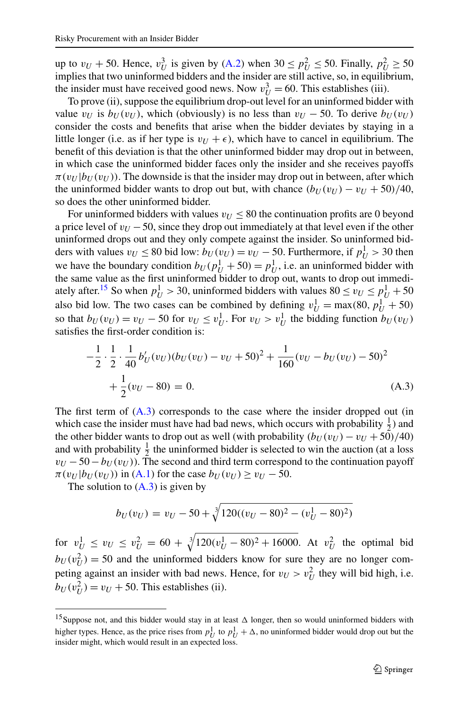<span id="page-18-0"></span>up to  $v_U + 50$ . Hence,  $v_U^3$  is given by ([A.2](#page-17-0)) when  $30 \le p_U^2 \le 50$ . Finally,  $p_U^2 \ge 50$ implies that two uninformed bidders and the insider are still active, so, in equilibrium, the insider must have received good news. Now  $v_U^3 = 60$ . This establishes (iii).

To prove (ii), suppose the equilibrium drop-out level for an uninformed bidder with value  $v_U$  is  $b_U(v_U)$ , which (obviously) is no less than  $v_U - 50$ . To derive  $b_U(v_U)$ consider the costs and benefits that arise when the bidder deviates by staying in a little longer (i.e. as if her type is  $v_U + \epsilon$ ), which have to cancel in equilibrium. The benefit of this deviation is that the other uninformed bidder may drop out in between, in which case the uninformed bidder faces only the insider and she receives payoffs  $\pi(v_U|b_U(v_U))$ . The downside is that the insider may drop out in between, after which the uninformed bidder wants to drop out but, with chance  $(b_{U}(v_{U}) - v_{U} + 50)/40$ , so does the other uninformed bidder.

For uninformed bidders with values  $v_U < 80$  the continuation profits are 0 beyond a price level of  $v_U$  −50, since they drop out immediately at that level even if the other uninformed drops out and they only compete against the insider. So uninformed bidders with values  $v_U \le 80$  bid low:  $b_U(v_U) = v_U - 50$ . Furthermore, if  $p_U^1 > 30$  then we have the boundary condition  $b_U(p_U^1 + 50) = p_U^1$ , i.e. an uninformed bidder with the same value as the first uninformed bidder to drop out, wants to drop out immediately after.<sup>15</sup> So when  $p_U^1 > 30$ , uninformed bidders with values  $80 \le v_U \le p_U^1 + 50$ also bid low. The two cases can be combined by defining  $v_U^1 = \max(80, p_U^1 + 50)$ so that  $b_U(v_U) = v_U - 50$  for  $v_U \le v_U^1$ . For  $v_U > v_U^1$  the bidding function  $b_U(v_U)$ satisfies the first-order condition is:

$$
-\frac{1}{2} \cdot \frac{1}{2} \cdot \frac{1}{40} b'_U(v_U)(b_U(v_U) - v_U + 50)^2 + \frac{1}{160}(v_U - b_U(v_U) - 50)^2
$$
  
+ 
$$
\frac{1}{2}(v_U - 80) = 0.
$$
 (A.3)

The first term of  $(A.3)$  corresponds to the case where the insider dropped out (in which case the insider must have had bad news, which occurs with probability  $\frac{1}{2}$ ) and the other bidder wants to drop out as well (with probability  $(b_U(v_U) - v_U + 50)/40$ ) and with probability  $\frac{1}{2}$  the uninformed bidder is selected to win the auction (at a loss  $v_U$  −50 −  $b_U$ ( $v_U$ )). The second and third term correspond to the continuation payoff  $\pi(v_U|b_U(v_U))$  in [\(A.1\)](#page-17-0) for the case  $b_U(v_U) \ge v_U - 50$ .

The solution to  $(A.3)$  is given by

$$
b_U(v_U) = v_U - 50 + \sqrt[3]{120((v_U - 80)^2 - (v_U^1 - 80)^2)}
$$

for  $v_U^1 \le v_U \le v_U^2 = 60 + \sqrt[3]{120(v_U^1 - 80)^2 + 16000}$ . At  $v_U^2$  the optimal bid  $b_U(v_U^2) = 50$  and the uninformed bidders know for sure they are no longer competing against an insider with bad news. Hence, for  $v_U > v_U^2$  they will bid high, i.e.  $b_U(v_U^2) = v_U + 50$ . This establishes (ii).

<sup>&</sup>lt;sup>15</sup>Suppose not, and this bidder would stay in at least  $\Delta$  longer, then so would uninformed bidders with higher types. Hence, as the price rises from  $p_U^1$  to  $p_U^1 + \Delta$ , no uninformed bidder would drop out but the insider might, which would result in an expected loss.